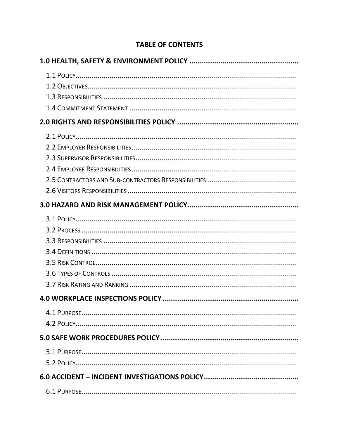## **TABLE OF CONTENTS**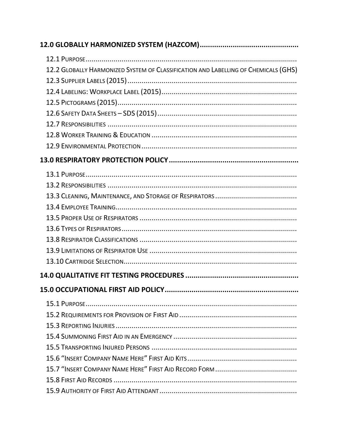| 12.2 GLOBALLY HARMONIZED SYSTEM OF CLASSIFICATION AND LABELLING OF CHEMICALS (GHS) |
|------------------------------------------------------------------------------------|
|                                                                                    |
|                                                                                    |
|                                                                                    |
|                                                                                    |
|                                                                                    |
|                                                                                    |
|                                                                                    |
|                                                                                    |
|                                                                                    |
|                                                                                    |
|                                                                                    |
|                                                                                    |
|                                                                                    |
|                                                                                    |
|                                                                                    |
|                                                                                    |
|                                                                                    |
|                                                                                    |
|                                                                                    |
|                                                                                    |
|                                                                                    |
|                                                                                    |
|                                                                                    |
|                                                                                    |
|                                                                                    |
|                                                                                    |
|                                                                                    |
|                                                                                    |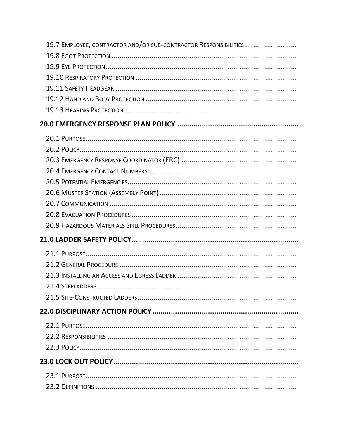| 19.7 EMPLOYEE, CONTRACTOR AND/OR SUB-CONTRACTOR RESPONSIBILITIES |
|------------------------------------------------------------------|
|                                                                  |
|                                                                  |
|                                                                  |
|                                                                  |
|                                                                  |
|                                                                  |
|                                                                  |
|                                                                  |
|                                                                  |
|                                                                  |
|                                                                  |
|                                                                  |
|                                                                  |
|                                                                  |
|                                                                  |
|                                                                  |
|                                                                  |
|                                                                  |
|                                                                  |
|                                                                  |
|                                                                  |
|                                                                  |
|                                                                  |
|                                                                  |
|                                                                  |
|                                                                  |
|                                                                  |
|                                                                  |
|                                                                  |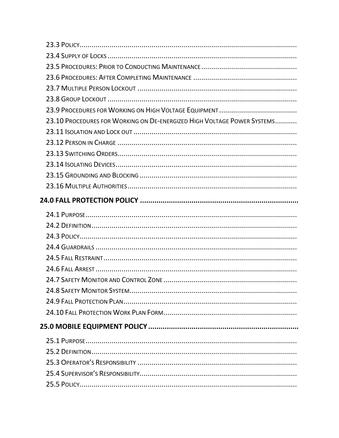| 23.10 PROCEDURES FOR WORKING ON DE-ENERGIZED HIGH VOLTAGE POWER SYSTEMS |
|-------------------------------------------------------------------------|
|                                                                         |
|                                                                         |
|                                                                         |
|                                                                         |
|                                                                         |
|                                                                         |
|                                                                         |
|                                                                         |
|                                                                         |
|                                                                         |
|                                                                         |
|                                                                         |
|                                                                         |
|                                                                         |
|                                                                         |
|                                                                         |
|                                                                         |
|                                                                         |
|                                                                         |
|                                                                         |
|                                                                         |
|                                                                         |
|                                                                         |
|                                                                         |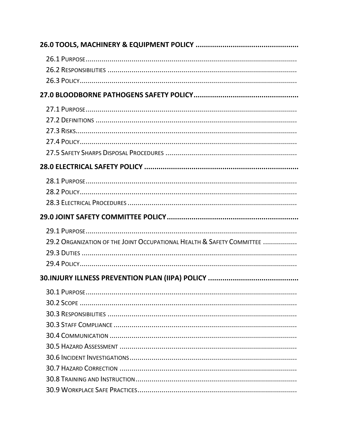| 29.2 ORGANIZATION OF THE JOINT OCCUPATIONAL HEALTH & SAFETY COMMITTEE |  |  |
|-----------------------------------------------------------------------|--|--|
|                                                                       |  |  |
|                                                                       |  |  |
|                                                                       |  |  |
|                                                                       |  |  |
|                                                                       |  |  |
|                                                                       |  |  |
|                                                                       |  |  |
|                                                                       |  |  |
|                                                                       |  |  |
|                                                                       |  |  |
|                                                                       |  |  |
|                                                                       |  |  |
|                                                                       |  |  |